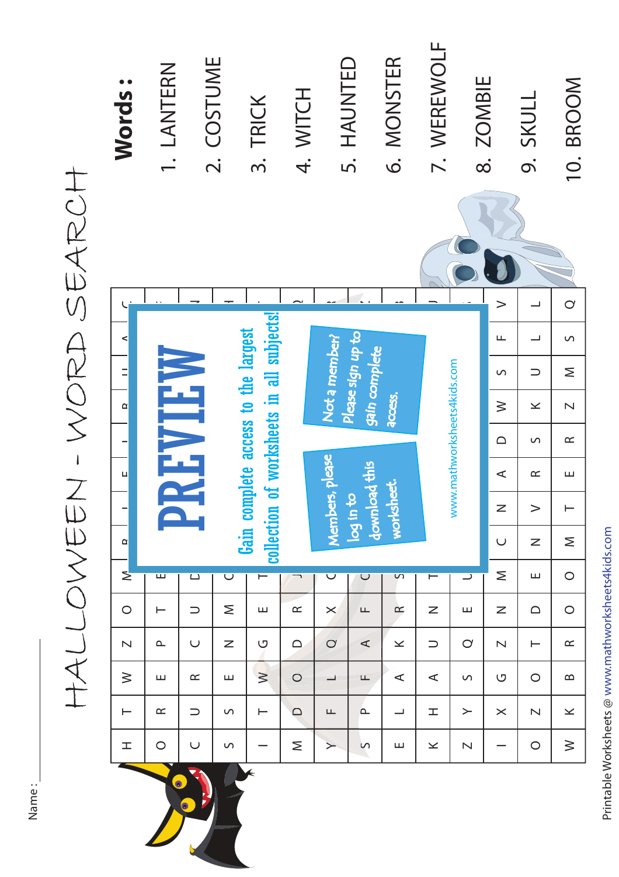| <b>Words:</b>            | 1. LANTERN                      |               | 2. COSTUME                                                            | 3. TRICK       | 4. WITCH |                                                                | 5. HAUNTED                       | 6. MONSTER   | 7. WEREWOLF                 |                         | 8. ZOMBIE               | 9. SKULL                 | 10. BROOM               |
|--------------------------|---------------------------------|---------------|-----------------------------------------------------------------------|----------------|----------|----------------------------------------------------------------|----------------------------------|--------------|-----------------------------|-------------------------|-------------------------|--------------------------|-------------------------|
|                          |                                 |               |                                                                       |                |          |                                                                |                                  |              |                             |                         |                         |                          |                         |
|                          |                                 |               |                                                                       |                |          |                                                                |                                  |              |                             |                         | $\geq$                  | ┙                        | $\circ$                 |
| $\prec$                  |                                 |               |                                                                       |                |          |                                                                |                                  |              |                             |                         | Щ                       | $\overline{\phantom{0}}$ | $\circ$                 |
| $\equiv$                 |                                 |               | of worksheets in all subjects!<br>Gain complete access to the largest |                |          | Please sign up to<br>Not a member?<br>gain complete<br>access. |                                  |              |                             |                         | $\circ$                 | $\supset$                | Σ                       |
| $\alpha$                 |                                 |               |                                                                       |                |          |                                                                |                                  |              |                             |                         | $\geq$                  | $\geq$                   | $\overline{\mathsf{N}}$ |
| $\overline{\phantom{0}}$ |                                 |               |                                                                       |                |          |                                                                |                                  |              |                             | $\triangle$             | $\circ$                 | $\propto$                |                         |
| ц                        |                                 | <b>REVIEW</b> |                                                                       |                |          | ers, please                                                    | load this                        |              |                             |                         | $\prec$                 | $\simeq$                 | Щ                       |
|                          |                                 |               |                                                                       |                |          |                                                                | worksheet.<br>log in to<br>downl |              | www.mathworksheets4kids.com |                         | Z                       | >                        | ⊢                       |
| $\alpha$                 |                                 |               | collection                                                            |                |          | <b>Nembe</b>                                                   |                                  |              |                             |                         | $\cup$                  | $\mathsf Z$              | Σ                       |
| $\geq$                   | ш                               | $\Box$        | $\overline{\mathsf{C}}$                                               | $\blacksquare$ |          | $\bm\cup$                                                      | $\cup$                           | S            | $\overline{}$               | ⊃                       | Σ                       | ш                        | $\bigcirc$              |
| $\bigcirc$               | ⊢                               | $\supset$     | Σ                                                                     | ш              | $\simeq$ | $\times$                                                       | Щ                                | $\simeq$     | Z                           | ш                       | Z                       | $\supset$                | $\bigcirc$              |
| $\overline{\mathsf{N}}$  | $\mathbf{\underline{\upalpha}}$ | $\cup$        | Z                                                                     | U              | $\Box$   | $\circ$                                                        | $\prec$                          | $\!\times\!$ | $\supset$                   | $\bigcirc$              | $\overline{\mathsf{N}}$ | ⊢                        | $\simeq$                |
| $\geq$                   | ш                               | $\propto$     | ш                                                                     | $\geq$         | $\circ$  | ┙                                                              | Щ                                | $\prec$      | $\prec$                     | S                       | U                       | $\circ$                  | ≃                       |
| $\vdash$                 | $\simeq$                        | $\cup$        | S                                                                     | $\vdash$       | $\Box$   | Щ                                                              | $\mathbf{\underline{\upalpha}}$  | ᆜ            | 工                           | $\succ$                 | $\times$                | $\overline{\mathsf{N}}$  | $\boldsymbol{\times}$   |
| I                        | $\bigcirc$                      | $\cup$        | S                                                                     |                | Σ        | ≻                                                              | $\sim$                           | ш            | $\geq$                      | $\overline{\mathsf{N}}$ |                         | $\bigcirc$               | $\geq$                  |
|                          |                                 |               |                                                                       |                |          |                                                                |                                  |              |                             |                         |                         |                          |                         |

HALLOWEEN - WORD SEARCH HALLOWEEN - WORD SEARCH

Name :

Printable Worksheets @ www.mathworksheets4kids.com Printable Worksheets @ www.mathworksheets4kids.com